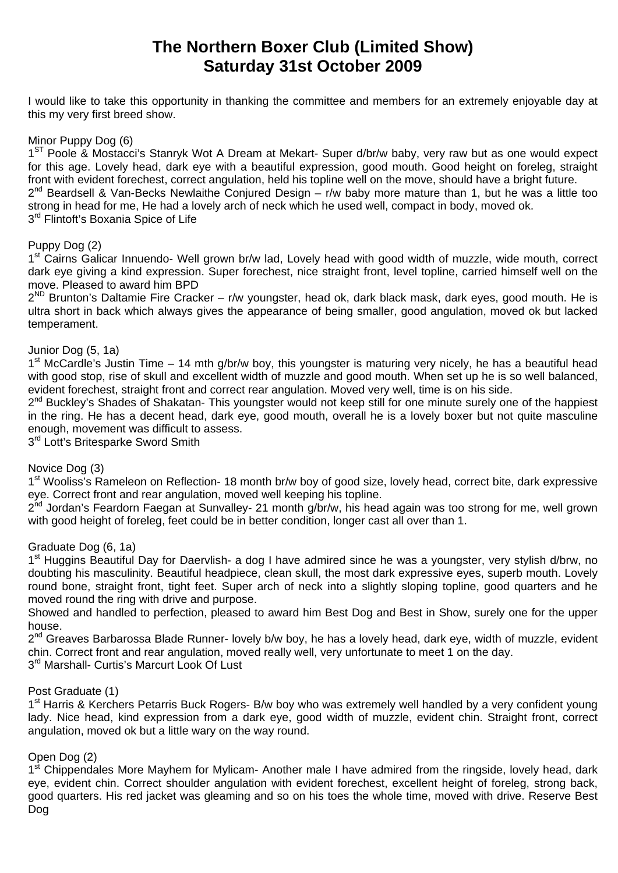# **The Northern Boxer Club (Limited Show) Saturday 31st October 2009**

I would like to take this opportunity in thanking the committee and members for an extremely enjoyable day at this my very first breed show.

# Minor Puppy Dog (6)

1<sup>ST</sup> Poole & Mostacci's Stanryk Wot A Dream at Mekart- Super d/br/w baby, very raw but as one would expect for this age. Lovely head, dark eye with a beautiful expression, good mouth. Good height on foreleg, straight front with evident forechest, correct angulation, held his topline well on the move, should have a bright future.  $2^{nd}$  Beardsell & Van-Becks Newlaithe Conjured Design – r/w baby more mature than 1, but he was a little too strong in head for me, He had a lovely arch of neck which he used well, compact in body, moved ok. 3<sup>rd</sup> Flintoft's Boxania Spice of Life

# Puppy Dog (2)

1<sup>st</sup> Cairns Galicar Innuendo- Well grown br/w lad, Lovely head with good width of muzzle, wide mouth, correct dark eye giving a kind expression. Super forechest, nice straight front, level topline, carried himself well on the move. Pleased to award him BPD

 $2^{ND}$  Brunton's Daltamie Fire Cracker – r/w youngster, head ok, dark black mask, dark eyes, good mouth. He is ultra short in back which always gives the appearance of being smaller, good angulation, moved ok but lacked temperament.

## Junior Dog (5, 1a)

 $1<sup>st</sup>$  McCardle's Justin Time – 14 mth g/br/w boy, this youngster is maturing very nicely, he has a beautiful head with good stop, rise of skull and excellent width of muzzle and good mouth. When set up he is so well balanced, evident forechest, straight front and correct rear angulation. Moved very well, time is on his side.

2<sup>nd</sup> Buckley's Shades of Shakatan- This youngster would not keep still for one minute surely one of the happiest in the ring. He has a decent head, dark eye, good mouth, overall he is a lovely boxer but not quite masculine enough, movement was difficult to assess.

3<sup>rd</sup> Lott's Britesparke Sword Smith

## Novice Dog (3)

1<sup>st</sup> Wooliss's Rameleon on Reflection- 18 month br/w boy of good size, lovely head, correct bite, dark expressive eye. Correct front and rear angulation, moved well keeping his topline.

2<sup>nd</sup> Jordan's Feardorn Faegan at Sunvalley- 21 month g/br/w, his head again was too strong for me, well grown with good height of foreleg, feet could be in better condition, longer cast all over than 1.

## Graduate Dog (6, 1a)

1<sup>st</sup> Huggins Beautiful Day for Daervlish- a dog I have admired since he was a youngster, very stylish d/brw, no doubting his masculinity. Beautiful headpiece, clean skull, the most dark expressive eyes, superb mouth. Lovely round bone, straight front, tight feet. Super arch of neck into a slightly sloping topline, good quarters and he moved round the ring with drive and purpose.

Showed and handled to perfection, pleased to award him Best Dog and Best in Show, surely one for the upper house.

2<sup>nd</sup> Greaves Barbarossa Blade Runner- lovely b/w boy, he has a lovely head, dark eye, width of muzzle, evident chin. Correct front and rear angulation, moved really well, very unfortunate to meet 1 on the day.

 $3<sup>rd</sup>$  Marshall- Curtis's Marcurt Look Of Lust

## Post Graduate (1)

1<sup>st</sup> Harris & Kerchers Petarris Buck Rogers- B/w boy who was extremely well handled by a very confident young lady. Nice head, kind expression from a dark eye, good width of muzzle, evident chin. Straight front, correct angulation, moved ok but a little wary on the way round.

# Open Dog (2)

1<sup>st</sup> Chippendales More Mayhem for Mylicam- Another male I have admired from the ringside, lovely head, dark eye, evident chin. Correct shoulder angulation with evident forechest, excellent height of foreleg, strong back, good quarters. His red jacket was gleaming and so on his toes the whole time, moved with drive. Reserve Best Dog